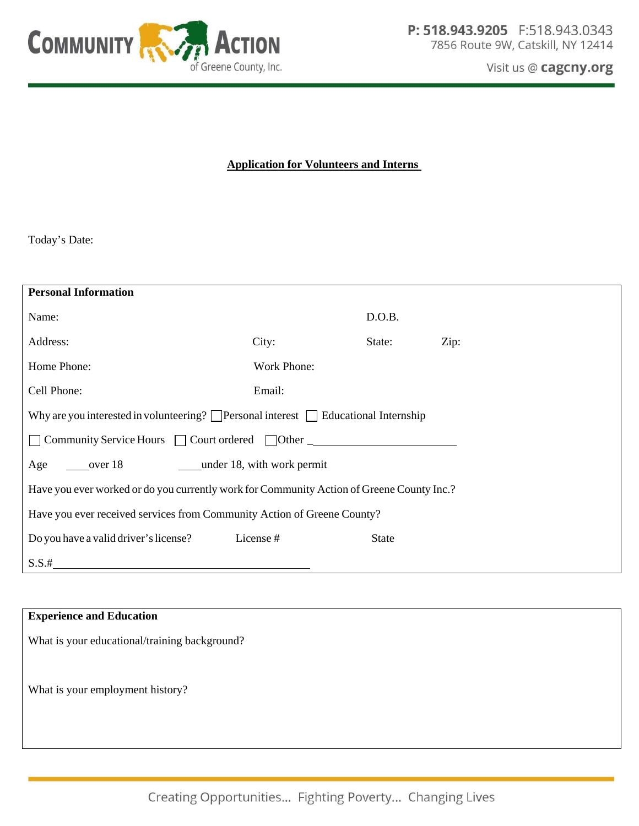

Visit us @ cagcny.org

## **Application for Volunteers and Interns**

Today's Date:

| <b>Personal Information</b>                                                               |             |              |      |  |  |
|-------------------------------------------------------------------------------------------|-------------|--------------|------|--|--|
| Name:                                                                                     |             | D.O.B.       |      |  |  |
| Address:                                                                                  | City:       | State:       | Zip: |  |  |
| Home Phone:                                                                               | Work Phone: |              |      |  |  |
| Cell Phone:                                                                               | Email:      |              |      |  |  |
| Why are you interested in volunteering? Personal interest $\Box$ Educational Internship   |             |              |      |  |  |
| ◯ Community Service Hours ◯ Court ordered ◯ Other _                                       |             |              |      |  |  |
| Age                                                                                       |             |              |      |  |  |
| Have you ever worked or do you currently work for Community Action of Greene County Inc.? |             |              |      |  |  |
| Have you ever received services from Community Action of Greene County?                   |             |              |      |  |  |
| Do you have a valid driver's license?                                                     | License#    | <b>State</b> |      |  |  |
| S.S.#                                                                                     |             |              |      |  |  |

## **Experience and Education**

What is your educational/training background?

What is your employment history?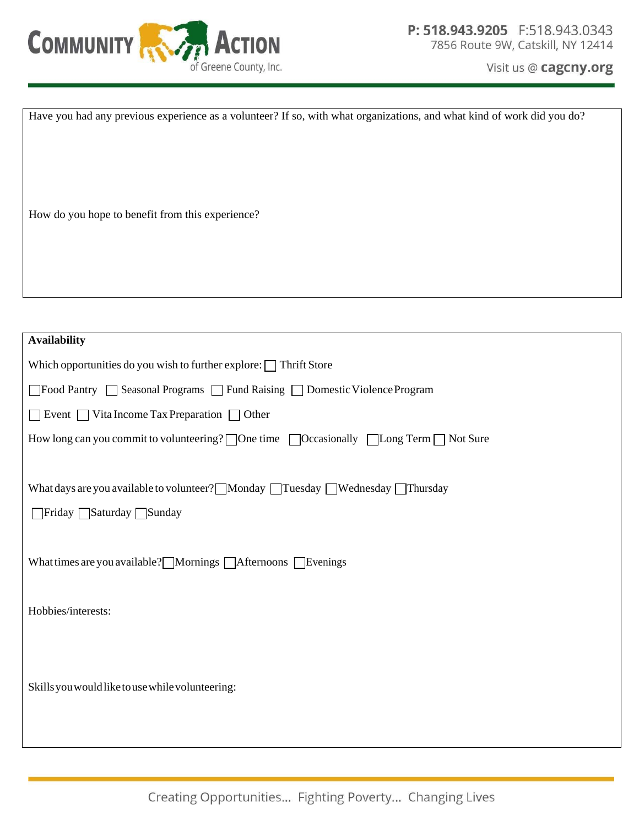

| Have you had any previous experience as a volunteer? If so, with what organizations, and what kind of work did you do? |  |  |  |  |  |
|------------------------------------------------------------------------------------------------------------------------|--|--|--|--|--|
| How do you hope to benefit from this experience?                                                                       |  |  |  |  |  |
|                                                                                                                        |  |  |  |  |  |
| <b>Availability</b>                                                                                                    |  |  |  |  |  |
| Which opportunities do you wish to further explore: $\Box$ Thrift Store                                                |  |  |  |  |  |
| □ Food Pantry □ Seasonal Programs □ Fund Raising □ Domestic Violence Program                                           |  |  |  |  |  |
| $\Box$ Event $\Box$ Vita Income Tax Preparation $\Box$ Other                                                           |  |  |  |  |  |
| How long can you commit to volunteering? One time Occasionally Long Term Not Sure                                      |  |  |  |  |  |
|                                                                                                                        |  |  |  |  |  |
| What days are you available to volunteer? Monday Tuesday Nednesday Thursday                                            |  |  |  |  |  |
| Friday Saturday Sunday                                                                                                 |  |  |  |  |  |
|                                                                                                                        |  |  |  |  |  |
| What times are you available? Mornings Afternoons Evenings                                                             |  |  |  |  |  |
|                                                                                                                        |  |  |  |  |  |
| Hobbies/interests:                                                                                                     |  |  |  |  |  |
|                                                                                                                        |  |  |  |  |  |
|                                                                                                                        |  |  |  |  |  |
| Skills you would like to use while volunteering:                                                                       |  |  |  |  |  |
|                                                                                                                        |  |  |  |  |  |
|                                                                                                                        |  |  |  |  |  |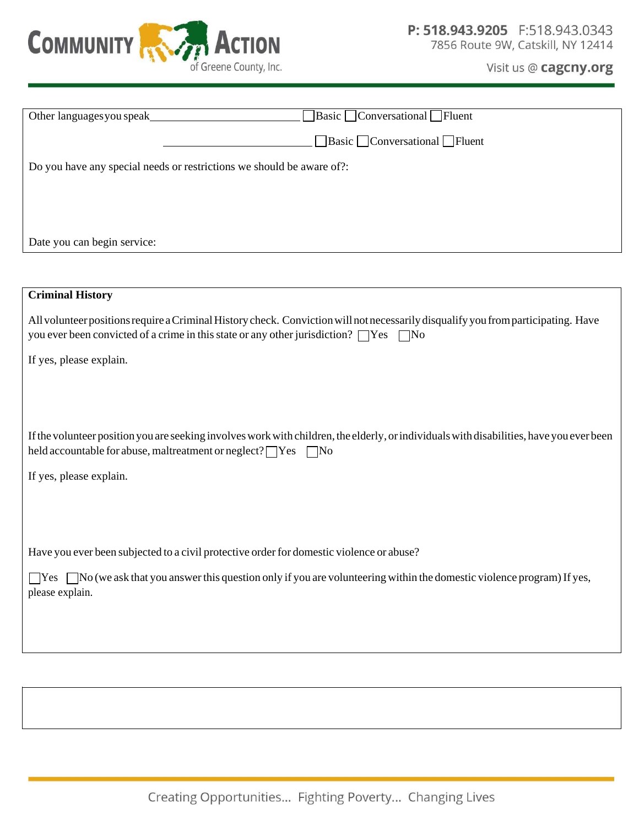

| Other languages you speak                                                                        | Basic Conversational Fluent                                                                                                              |  |  |  |  |
|--------------------------------------------------------------------------------------------------|------------------------------------------------------------------------------------------------------------------------------------------|--|--|--|--|
|                                                                                                  | $\Box$ Basic $\Box$ Conversational $\Box$ Fluent                                                                                         |  |  |  |  |
| Do you have any special needs or restrictions we should be aware of?:                            |                                                                                                                                          |  |  |  |  |
|                                                                                                  |                                                                                                                                          |  |  |  |  |
|                                                                                                  |                                                                                                                                          |  |  |  |  |
|                                                                                                  |                                                                                                                                          |  |  |  |  |
| Date you can begin service:                                                                      |                                                                                                                                          |  |  |  |  |
|                                                                                                  |                                                                                                                                          |  |  |  |  |
| <b>Criminal History</b>                                                                          |                                                                                                                                          |  |  |  |  |
|                                                                                                  | All volunteer positions require a Criminal History check. Conviction will not necessarily disqualify you from participating. Have        |  |  |  |  |
| you ever been convicted of a crime in this state or any other jurisdiction? $\Box$ Yes $\Box$ No |                                                                                                                                          |  |  |  |  |
| If yes, please explain.                                                                          |                                                                                                                                          |  |  |  |  |
|                                                                                                  |                                                                                                                                          |  |  |  |  |
|                                                                                                  |                                                                                                                                          |  |  |  |  |
|                                                                                                  | If the volunteer position you are seeking involves work with children, the elderly, or individuals with disabilities, have you ever been |  |  |  |  |
| held accountable for abuse, maltreatment or neglect? Ves                                         | $\Box$ No                                                                                                                                |  |  |  |  |
| If yes, please explain.                                                                          |                                                                                                                                          |  |  |  |  |
|                                                                                                  |                                                                                                                                          |  |  |  |  |
|                                                                                                  |                                                                                                                                          |  |  |  |  |
|                                                                                                  |                                                                                                                                          |  |  |  |  |
| Have you ever been subjected to a civil protective order for domestic violence or abuse?         |                                                                                                                                          |  |  |  |  |
| please explain.                                                                                  | □ Yes □ No (we ask that you answer this question only if you are volunteering within the domestic violence program) If yes,              |  |  |  |  |
|                                                                                                  |                                                                                                                                          |  |  |  |  |
|                                                                                                  |                                                                                                                                          |  |  |  |  |
|                                                                                                  |                                                                                                                                          |  |  |  |  |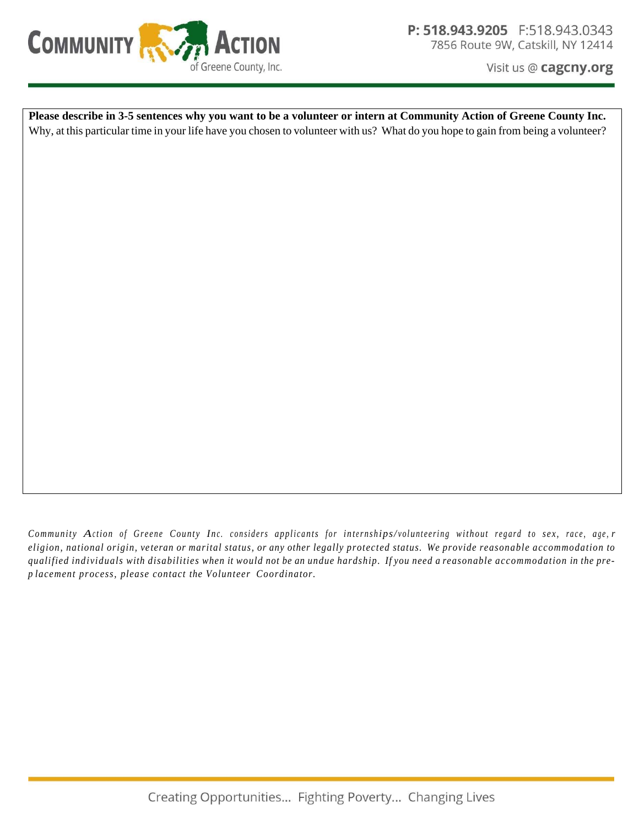

**Please describe in 3-5 sentences why you want to be a volunteer or intern at Community Action of Greene County Inc.**  Why, at this particular time in your life have you chosen to volunteer with us? What do you hope to gain from being a volunteer?

Community Action of Greene County Inc. considers applicants for internships/volunteering without regard to sex, race, age, r *eligion, national origin, veteran or marital status, or any other legally protected status. We provide reasonable accommodation to* qualified individuals with disabilities when it would not be an undue hardship. If you need a reasonable accommodation in the pre*p lacement process, please contact the Volunteer Coordinator.*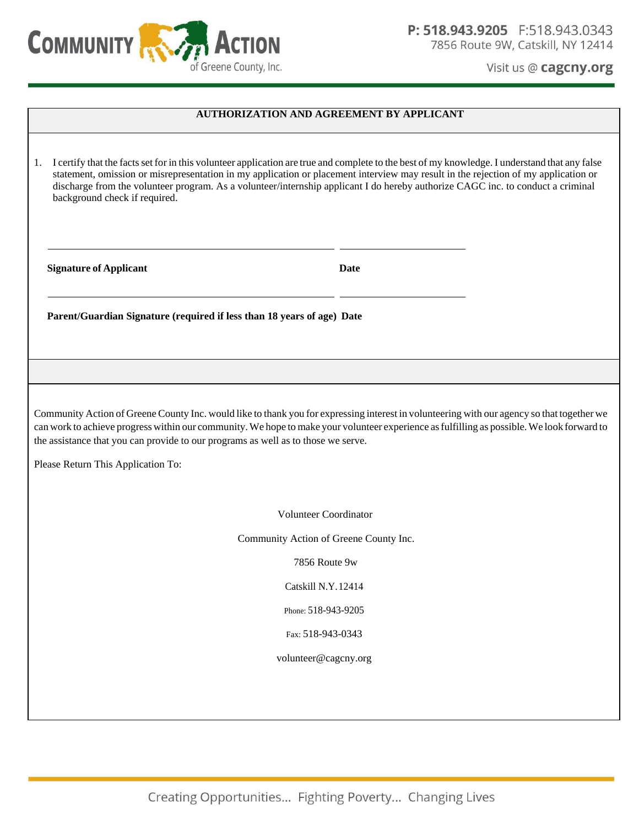

Visit us @ cagcny.org

## **AUTHORIZATION AND AGREEMENT BY APPLICANT**

| I certify that the facts set for in this volunteer application are true and complete to the best of my knowledge. I understand that any false<br>1.<br>statement, omission or misrepresentation in my application or placement interview may result in the rejection of my application or<br>discharge from the volunteer program. As a volunteer/internship applicant I do hereby authorize CAGC inc. to conduct a criminal<br>background check if required. |  |      |  |  |  |  |
|---------------------------------------------------------------------------------------------------------------------------------------------------------------------------------------------------------------------------------------------------------------------------------------------------------------------------------------------------------------------------------------------------------------------------------------------------------------|--|------|--|--|--|--|
| <b>Signature of Applicant</b>                                                                                                                                                                                                                                                                                                                                                                                                                                 |  | Date |  |  |  |  |
| Parent/Guardian Signature (required if less than 18 years of age) Date                                                                                                                                                                                                                                                                                                                                                                                        |  |      |  |  |  |  |
|                                                                                                                                                                                                                                                                                                                                                                                                                                                               |  |      |  |  |  |  |
| Community Action of Greene County Inc. would like to thank you for expressing interest in volunteering with our agency so that together we<br>can work to achieve progress within our community. We hope to make your volunteer experience as fulfilling as possible. We look forward to<br>the assistance that you can provide to our programs as well as to those we serve.<br>Please Return This Application To:                                           |  |      |  |  |  |  |
| Volunteer Coordinator                                                                                                                                                                                                                                                                                                                                                                                                                                         |  |      |  |  |  |  |
| Community Action of Greene County Inc.                                                                                                                                                                                                                                                                                                                                                                                                                        |  |      |  |  |  |  |
| 7856 Route 9w                                                                                                                                                                                                                                                                                                                                                                                                                                                 |  |      |  |  |  |  |
| Catskill N.Y. 12414                                                                                                                                                                                                                                                                                                                                                                                                                                           |  |      |  |  |  |  |
| Phone: 518-943-9205                                                                                                                                                                                                                                                                                                                                                                                                                                           |  |      |  |  |  |  |
| Fax: 518-943-0343                                                                                                                                                                                                                                                                                                                                                                                                                                             |  |      |  |  |  |  |
| volunteer@cagcny.org                                                                                                                                                                                                                                                                                                                                                                                                                                          |  |      |  |  |  |  |
|                                                                                                                                                                                                                                                                                                                                                                                                                                                               |  |      |  |  |  |  |
|                                                                                                                                                                                                                                                                                                                                                                                                                                                               |  |      |  |  |  |  |